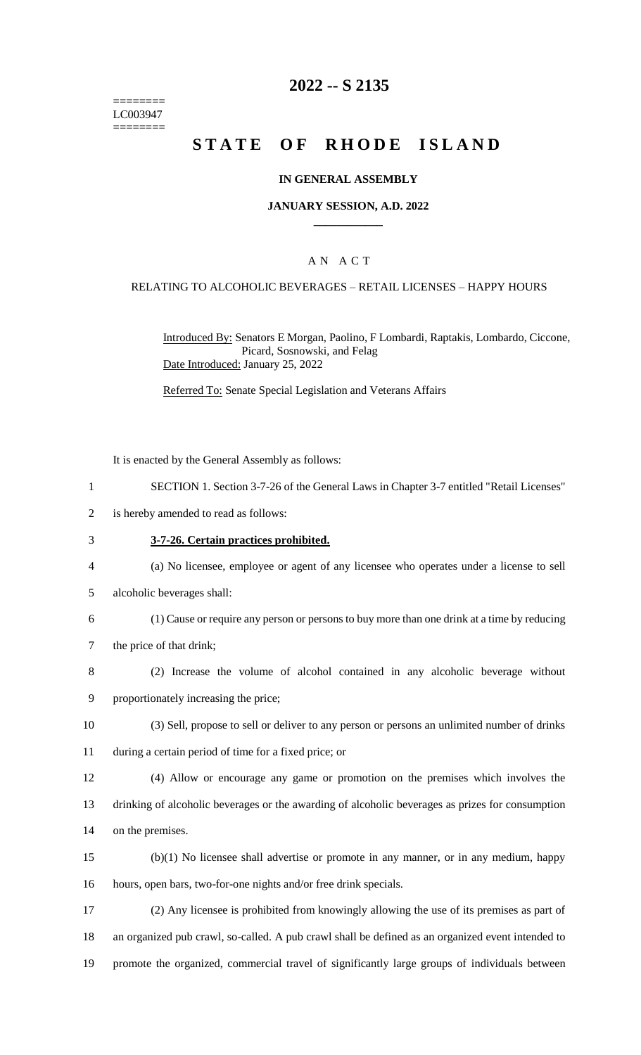======== LC003947 ========

### **2022 -- S 2135**

# **STATE OF RHODE ISLAND**

#### **IN GENERAL ASSEMBLY**

#### **JANUARY SESSION, A.D. 2022 \_\_\_\_\_\_\_\_\_\_\_\_**

### A N A C T

#### RELATING TO ALCOHOLIC BEVERAGES – RETAIL LICENSES – HAPPY HOURS

Introduced By: Senators E Morgan, Paolino, F Lombardi, Raptakis, Lombardo, Ciccone, Picard, Sosnowski, and Felag Date Introduced: January 25, 2022

Referred To: Senate Special Legislation and Veterans Affairs

It is enacted by the General Assembly as follows:

- 1 SECTION 1. Section 3-7-26 of the General Laws in Chapter 3-7 entitled "Retail Licenses"
- 2 is hereby amended to read as follows:
- 3 **3-7-26. Certain practices prohibited.**
- 4 (a) No licensee, employee or agent of any licensee who operates under a license to sell
- 5 alcoholic beverages shall:
- 6 (1) Cause or require any person or persons to buy more than one drink at a time by reducing
- 7 the price of that drink;
- 8 (2) Increase the volume of alcohol contained in any alcoholic beverage without 9 proportionately increasing the price;
- 10 (3) Sell, propose to sell or deliver to any person or persons an unlimited number of drinks
- 11 during a certain period of time for a fixed price; or
- 12 (4) Allow or encourage any game or promotion on the premises which involves the 13 drinking of alcoholic beverages or the awarding of alcoholic beverages as prizes for consumption 14 on the premises.
- 15 (b)(1) No licensee shall advertise or promote in any manner, or in any medium, happy 16 hours, open bars, two-for-one nights and/or free drink specials.
- 17 (2) Any licensee is prohibited from knowingly allowing the use of its premises as part of 18 an organized pub crawl, so-called. A pub crawl shall be defined as an organized event intended to 19 promote the organized, commercial travel of significantly large groups of individuals between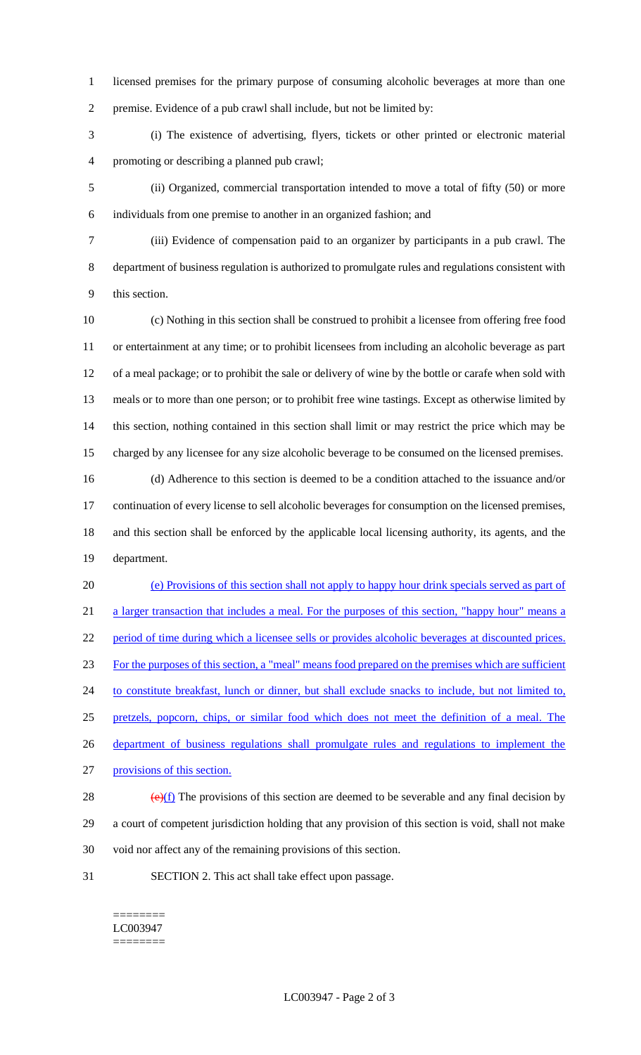licensed premises for the primary purpose of consuming alcoholic beverages at more than one premise. Evidence of a pub crawl shall include, but not be limited by:

 (i) The existence of advertising, flyers, tickets or other printed or electronic material promoting or describing a planned pub crawl;

 (ii) Organized, commercial transportation intended to move a total of fifty (50) or more individuals from one premise to another in an organized fashion; and

 (iii) Evidence of compensation paid to an organizer by participants in a pub crawl. The department of business regulation is authorized to promulgate rules and regulations consistent with this section.

 (c) Nothing in this section shall be construed to prohibit a licensee from offering free food or entertainment at any time; or to prohibit licensees from including an alcoholic beverage as part of a meal package; or to prohibit the sale or delivery of wine by the bottle or carafe when sold with meals or to more than one person; or to prohibit free wine tastings. Except as otherwise limited by this section, nothing contained in this section shall limit or may restrict the price which may be charged by any licensee for any size alcoholic beverage to be consumed on the licensed premises.

 (d) Adherence to this section is deemed to be a condition attached to the issuance and/or continuation of every license to sell alcoholic beverages for consumption on the licensed premises, and this section shall be enforced by the applicable local licensing authority, its agents, and the department.

 (e) Provisions of this section shall not apply to happy hour drink specials served as part of 21 a larger transaction that includes a meal. For the purposes of this section, "happy hour" means a period of time during which a licensee sells or provides alcoholic beverages at discounted prices. For the purposes of this section, a "meal" means food prepared on the premises which are sufficient 24 to constitute breakfast, lunch or dinner, but shall exclude snacks to include, but not limited to, pretzels, popcorn, chips, or similar food which does not meet the definition of a meal. The 26 department of business regulations shall promulgate rules and regulations to implement the provisions of this section.  $\left(\frac{e}{f}\right)$  The provisions of this section are deemed to be severable and any final decision by

 a court of competent jurisdiction holding that any provision of this section is void, shall not make void nor affect any of the remaining provisions of this section.

SECTION 2. This act shall take effect upon passage.

======== LC003947 ========